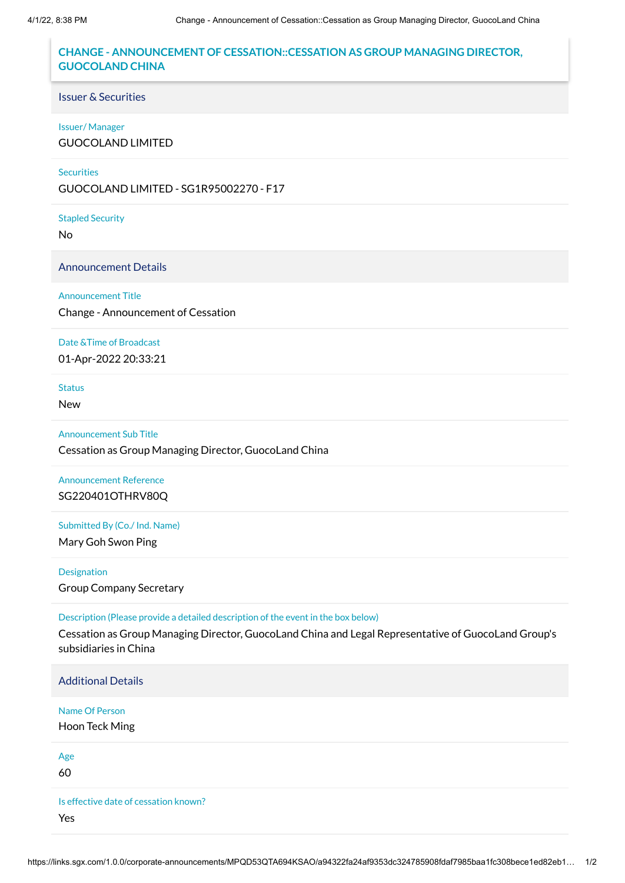## **CHANGE - ANNOUNCEMENT OF CESSATION::CESSATION AS GROUP MANAGING DIRECTOR, GUOCOLAND CHINA**

## Issuer & Securities

#### Issuer/ Manager

GUOCOLAND LIMITED

#### **Securities**

GUOCOLAND LIMITED - SG1R95002270 - F17

#### Stapled Security

No

Announcement Details

### Announcement Title

Change - Announcement of Cessation

## Date &Time of Broadcast

01-Apr-2022 20:33:21

### **Status**

New

## Announcement Sub Title

Cessation as Group Managing Director, GuocoLand China

## Announcement Reference SG220401OTHRV80Q

## Submitted By (Co./ Ind. Name)

Mary Goh Swon Ping

Designation Group Company Secretary

### Description (Please provide a detailed description of the event in the box below)

Cessation as Group Managing Director, GuocoLand China and Legal Representative of GuocoLand Group's subsidiaries in China

Additional Details

## Name Of Person

Hoon Teck Ming

Age

60

Is effective date of cessation known? Yes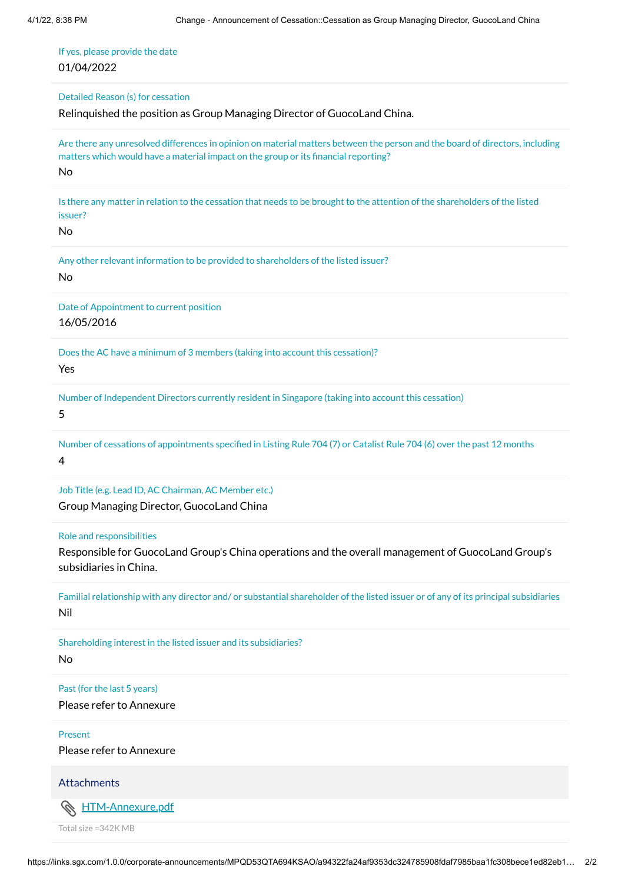If yes, please provide the date 01/04/2022

Detailed Reason (s) for cessation

Relinquished the position as Group Managing Director of GuocoLand China.

Are there any unresolved differences in opinion on material matters between the person and the board of directors, including matters which would have a material impact on the group or its financial reporting? No

Is there any matter in relation to the cessation that needs to be brought to the attention of the shareholders of the listed issuer?

No

Any other relevant information to be provided to shareholders of the listed issuer? No

Date of Appointment to current position 16/05/2016

Does the AC have a minimum of 3 members (taking into account this cessation)? Yes

Number of Independent Directors currently resident in Singapore (taking into account this cessation)

5

Number of cessations of appointments specified in Listing Rule 704 (7) or Catalist Rule 704 (6) over the past 12 months 4

Job Title (e.g. Lead ID, AC Chairman, AC Member etc.)

Group Managing Director, GuocoLand China

Role and responsibilities

Responsible for GuocoLand Group's China operations and the overall management of GuocoLand Group's subsidiaries in China.

Familial relationship with any director and/ or substantial shareholder of the listed issuer or of any of its principal subsidiaries Nil

Shareholding interest in the listed issuer and its subsidiaries?

No

Past (for the last 5 years)

Please refer to Annexure

Present

Please refer to Annexure

**Attachments** 

Ô. [HTM-Annexure.pdf](https://links.sgx.com/1.0.0/corporate-announcements/MPQD53QTA694KSAO/709608_HTM-Annexure.pdf)

Total size =342K MB